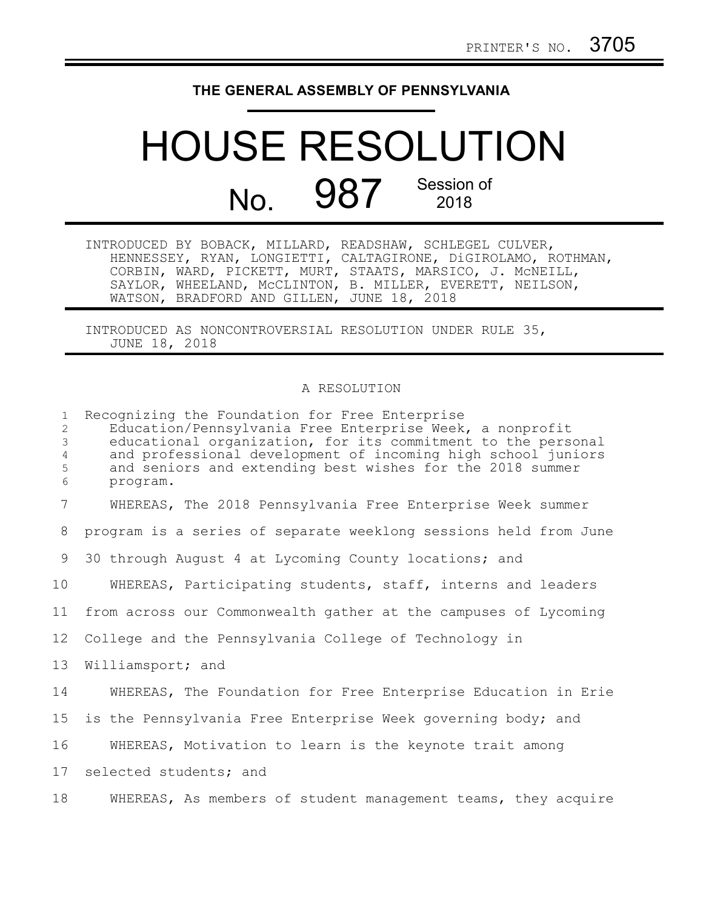## **THE GENERAL ASSEMBLY OF PENNSYLVANIA**

## HOUSE RESOLUTION No. 987 Session of

| INTRODUCED BY BOBACK, MILLARD, READSHAW, SCHLEGEL CULVER, |                                                               |
|-----------------------------------------------------------|---------------------------------------------------------------|
|                                                           | HENNESSEY, RYAN, LONGIETTI, CALTAGIRONE, DIGIROLAMO, ROTHMAN, |
|                                                           | CORBIN, WARD, PICKETT, MURT, STAATS, MARSICO, J. MCNEILL,     |
|                                                           | SAYLOR, WHEELAND, MCCLINTON, B. MILLER, EVERETT, NEILSON,     |
| WATSON, BRADFORD AND GILLEN, JUNE 18, 2018                |                                                               |

INTRODUCED AS NONCONTROVERSIAL RESOLUTION UNDER RULE 35, JUNE 18, 2018

## A RESOLUTION

| $\mathbf{1}$<br>2<br>3   | Recognizing the Foundation for Free Enterprise<br>Education/Pennsylvania Free Enterprise Week, a nonprofit<br>educational organization, for its commitment to the personal |
|--------------------------|----------------------------------------------------------------------------------------------------------------------------------------------------------------------------|
| $\overline{4}$<br>5<br>6 | and professional development of incoming high school juniors<br>and seniors and extending best wishes for the 2018 summer<br>program.                                      |
| $7\overline{ }$          | WHEREAS, The 2018 Pennsylvania Free Enterprise Week summer                                                                                                                 |
| 8                        | program is a series of separate weeklong sessions held from June                                                                                                           |
| 9                        | 30 through August 4 at Lycoming County locations; and                                                                                                                      |
| 10                       | WHEREAS, Participating students, staff, interns and leaders                                                                                                                |
| 11                       | from across our Commonwealth gather at the campuses of Lycoming                                                                                                            |
| 12                       | College and the Pennsylvania College of Technology in                                                                                                                      |
| 13                       | Williamsport; and                                                                                                                                                          |
| 14                       | WHEREAS, The Foundation for Free Enterprise Education in Erie                                                                                                              |
| 15                       | is the Pennsylvania Free Enterprise Week governing body; and                                                                                                               |
| 16                       | WHEREAS, Motivation to learn is the keynote trait among                                                                                                                    |
| 17                       | selected students; and                                                                                                                                                     |
| 18                       | WHEREAS, As members of student management teams, they acquire                                                                                                              |